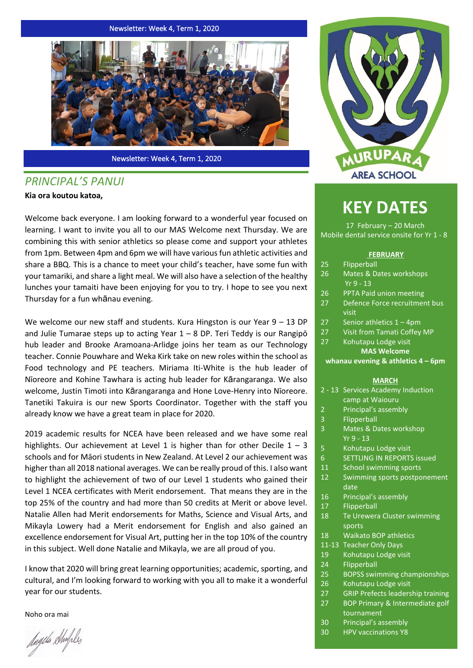Newsletter: Week 4, Term 1, 2020



Newsletter: Week 4, Term 1, 2020

# *PRINCIPAL'S PANUI*

## **Kia ora koutou katoa,**

Welcome back everyone. I am looking forward to a wonderful year focused on learning. I want to invite you all to our MAS Welcome next Thursday. We are combining this with senior athletics so please come and support your athletes from 1pm. Between 4pm and 6pm we will have various fun athletic activities and share a BBQ. This is a chance to meet your child's teacher, have some fun with your tamariki, and share a light meal. We will also have a selection of the healthy lunches your tamaiti have been enjoying for you to try. I hope to see you next Thursday for a fun whānau evening.

We welcome our new staff and students. Kura Hingston is our Year  $9 - 13$  DP and Julie Tumarae steps up to acting Year  $1 - 8$  DP. Teri Teddy is our Rangipo hub leader and Brooke Aramoana-Arlidge joins her team as our Technology teacher. Connie Pouwhare and Weka Kirk take on new roles within the school as Food technology and PE teachers. Miriama Iti-White is the hub leader of Nīoreore and Kohine Tawhara is acting hub leader for Kārangaranga. We also welcome, Justin Timoti into Kārangaranga and Hone Love-Henry into Nīoreore. Tanetiki Takuira is our new Sports Coordinator. Together with the staff you already know we have a great team in place for 2020.

2019 academic results for NCEA have been released and we have some real highlights. Our achievement at Level 1 is higher than for other Decile  $1 - 3$ schools and for Māori students in New Zealand. At Level 2 our achievement was higher than all 2018 national averages. We can be really proud of this. I also want to highlight the achievement of two of our Level 1 students who gained their Level 1 NCEA certificates with Merit endorsement. That means they are in the top 25% of the country and had more than 50 credits at Merit or above level. Natalie Allen had Merit endorsements for Maths, Science and Visual Arts, and Mikayla Lowery had a Merit endorsement for English and also gained an excellence endorsement for Visual Art, putting her in the top 10% of the country in this subject. Well done Natalie and Mikayla, we are all proud of you.

I know that 2020 will bring great learning opportunities; academic, sporting, and cultural, and I'm looking forward to working with you all to make it a wonderful year for our students.

Noho ora mai

dagela Shufiles



# **KEY DATES**

17 February – 20 March Mobile dental service onsite for Yr 1 - 8

#### **FEBRUARY**

- 25 Flipperball
- 26 Mates & Dates workshops Yr 9 - 13
- 26 PPTA Paid union meeting
- 27 Defence Force recruitment bus visit
- 27 Senior athletics 1 4pm
- 27 Visit from Tamati Coffey MP
- 27 Kohutapu Lodge visit **MAS Welcome**

#### **whanau evening & athletics 4 – 6pm**

#### **MARCH**

- 2 13 Services Academy Induction camp at Waiouru
- 2 Principal's assembly
- 3 Flipperball
- 3 Mates & Dates workshop Yr 9 - 13
- 5 Kohutapu Lodge visit
- 6 SETTLING IN REPORTS issued
- 11 School swimming sports
- 12 Swimming sports postponement date
- 16 Principal's assembly
- 17 Flipperball
- 18 Te Urewera Cluster swimming sports
- 18 Waikato BOP athletics
- 11-13 Teacher Only Days
- 19 Kohutapu Lodge visit
- 24 Flipperball
- 25 BOPSS swimming championships
- 26 Kohutapu Lodge visit
- 27 GRIP Prefects leadership training
- 27 BOP Primary & Intermediate golf tournament
- 30 Principal's assembly
- 30 HPV vaccinations Y8